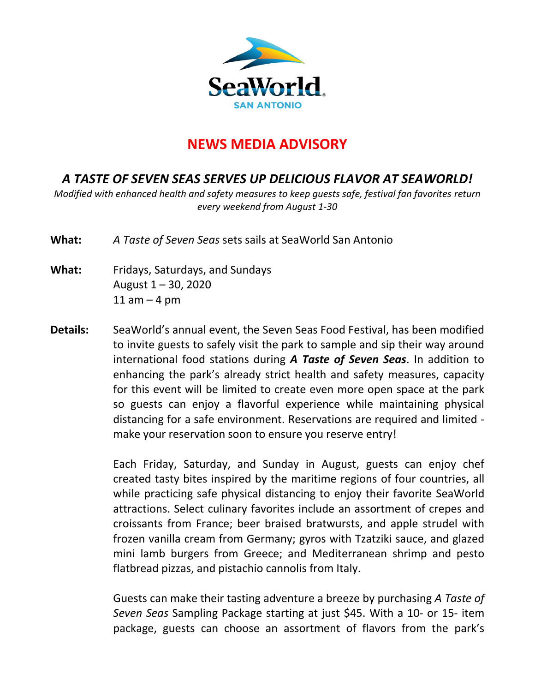

## **NEWS MEDIA ADVISORY**

## *A TASTE OF SEVEN SEAS SERVES UP DELICIOUS FLAVOR AT SEAWORLD!*

*Modified with enhanced health and safety measures to keep guests safe, festival fan favorites return every weekend from August 1-30*

**What:** *A Taste of Seven Seas* sets sails at SeaWorld San Antonio

- **What:** Fridays, Saturdays, and Sundays August  $1 - 30$ , 2020  $11$  am  $-$  4 pm
- **Details:** SeaWorld's annual event, the Seven Seas Food Festival, has been modified to invite guests to safely visit the park to sample and sip their way around international food stations during *A Taste of Seven Seas*. In addition to enhancing the park's already strict health and safety measures, capacity for this event will be limited to create even more open space at the park so guests can enjoy a flavorful experience while maintaining physical distancing for a safe environment. Reservations are required and limited make your reservation soon to ensure you reserve entry!

Each Friday, Saturday, and Sunday in August, guests can enjoy chef created tasty bites inspired by the maritime regions of four countries, all while practicing safe physical distancing to enjoy their favorite SeaWorld attractions. Select culinary favorites include an assortment of crepes and croissants from France; beer braised bratwursts, and apple strudel with frozen vanilla cream from Germany; gyros with Tzatziki sauce, and glazed mini lamb burgers from Greece; and Mediterranean shrimp and pesto flatbread pizzas, and pistachio cannolis from Italy.

Guests can make their tasting adventure a breeze by purchasing *A Taste of Seven Seas* Sampling Package starting at just \$45. With a 10- or 15- item package, guests can choose an assortment of flavors from the park's